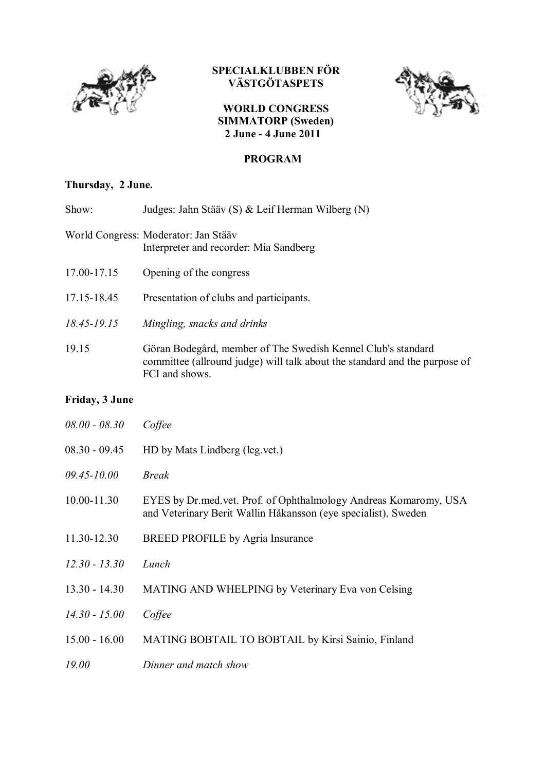

## **SPECIALKLUBBEN FÖR VÄSTGÖTASPETS**





### **PROGRAM**

# **Thursday, 2 June.**

| Show:           | Judges: Jahn Stääv (S) & Leif Herman Wilberg (N)                                                                                                             |
|-----------------|--------------------------------------------------------------------------------------------------------------------------------------------------------------|
|                 | World Congress: Moderator: Jan Stääv<br>Interpreter and recorder: Mia Sandberg                                                                               |
| 17.00-17.15     | Opening of the congress                                                                                                                                      |
| 17.15-18.45     | Presentation of clubs and participants.                                                                                                                      |
| $18.45 - 19.15$ | Mingling, snacks and drinks                                                                                                                                  |
| 19.15           | Göran Bodegård, member of The Swedish Kennel Club's standard<br>committee (allround judge) will talk about the standard and the purpose of<br>FCI and shows. |

### **Friday, 3 June**

| $08.00 - 08.30$ | Coffee                                                                                                                               |
|-----------------|--------------------------------------------------------------------------------------------------------------------------------------|
| $08.30 - 09.45$ | HD by Mats Lindberg (leg.vet.)                                                                                                       |
| $09.45 - 10.00$ | <b>Break</b>                                                                                                                         |
| 10.00-11.30     | EYES by Dr. med. vet. Prof. of Ophthalmology Andreas Komaromy, USA<br>and Veterinary Berit Wallin Håkansson (eye specialist), Sweden |
| 11.30-12.30     | BREED PROFILE by Agria Insurance                                                                                                     |
| $12.30 - 13.30$ | Lunch                                                                                                                                |
| $13.30 - 14.30$ | <b>MATING AND WHELPING by Veterinary Eva von Celsing</b>                                                                             |
| $14.30 - 15.00$ | Coffee                                                                                                                               |
| $15.00 - 16.00$ | MATING BOBTAIL TO BOBTAIL by Kirsi Sainio, Finland                                                                                   |
| 19.00           | Dinner and match show                                                                                                                |